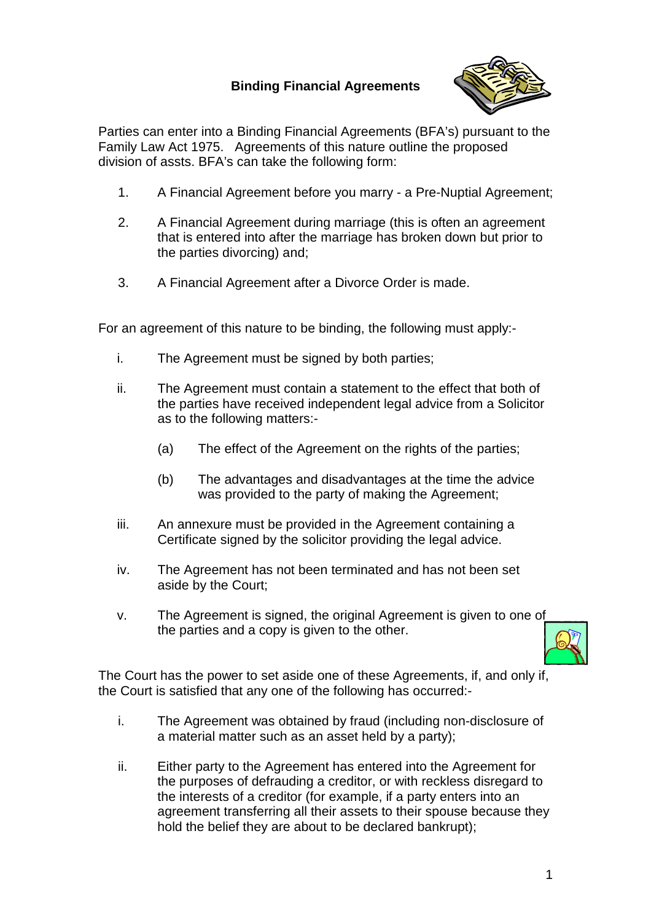## **Binding Financial Agreements**



Parties can enter into a Binding Financial Agreements (BFA's) pursuant to the Family Law Act 1975. Agreements of this nature outline the proposed division of assts. BFA's can take the following form:

- 1. A Financial Agreement before you marry a Pre-Nuptial Agreement;
- 2. A Financial Agreement during marriage (this is often an agreement that is entered into after the marriage has broken down but prior to the parties divorcing) and;
- 3. A Financial Agreement after a Divorce Order is made.

For an agreement of this nature to be binding, the following must apply:-

- i. The Agreement must be signed by both parties;
- ii. The Agreement must contain a statement to the effect that both of the parties have received independent legal advice from a Solicitor as to the following matters:-
	- (a) The effect of the Agreement on the rights of the parties;
	- (b) The advantages and disadvantages at the time the advice was provided to the party of making the Agreement;
- iii. An annexure must be provided in the Agreement containing a Certificate signed by the solicitor providing the legal advice.
- iv. The Agreement has not been terminated and has not been set aside by the Court;
- v. The Agreement is signed, the original Agreement is given to one of the parties and a copy is given to the other.



The Court has the power to set aside one of these Agreements, if, and only if, the Court is satisfied that any one of the following has occurred:-

- i. The Agreement was obtained by fraud (including non-disclosure of a material matter such as an asset held by a party);
- ii. Either party to the Agreement has entered into the Agreement for the purposes of defrauding a creditor, or with reckless disregard to the interests of a creditor (for example, if a party enters into an agreement transferring all their assets to their spouse because they hold the belief they are about to be declared bankrupt);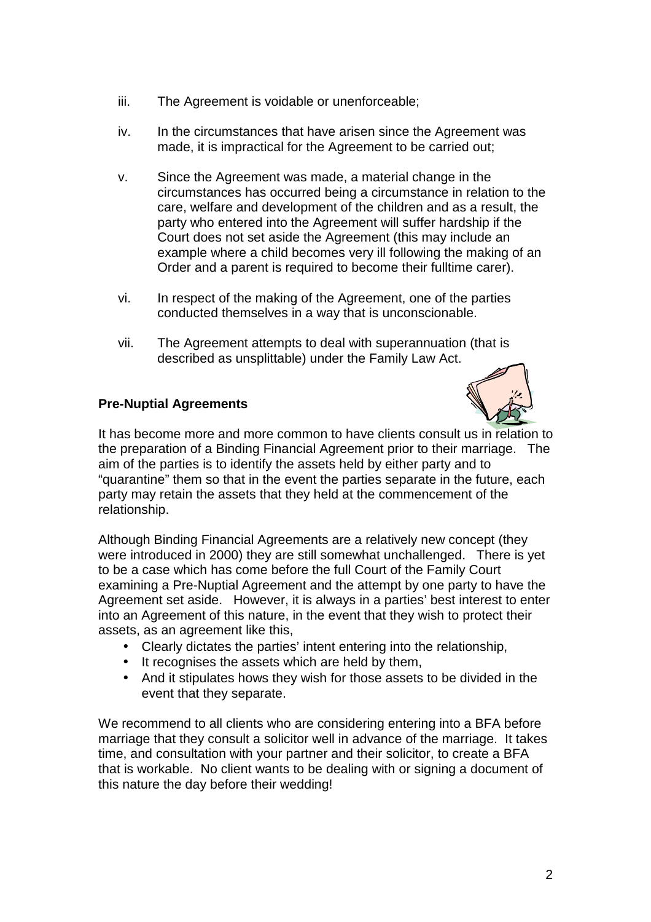- iii. The Agreement is voidable or unenforceable;
- iv. In the circumstances that have arisen since the Agreement was made, it is impractical for the Agreement to be carried out;
- v. Since the Agreement was made, a material change in the circumstances has occurred being a circumstance in relation to the care, welfare and development of the children and as a result, the party who entered into the Agreement will suffer hardship if the Court does not set aside the Agreement (this may include an example where a child becomes very ill following the making of an Order and a parent is required to become their fulltime carer).
- vi. In respect of the making of the Agreement, one of the parties conducted themselves in a way that is unconscionable.
- vii. The Agreement attempts to deal with superannuation (that is described as unsplittable) under the Family Law Act.

## **Pre-Nuptial Agreements**



It has become more and more common to have clients consult us in relation to the preparation of a Binding Financial Agreement prior to their marriage. The aim of the parties is to identify the assets held by either party and to "quarantine" them so that in the event the parties separate in the future, each party may retain the assets that they held at the commencement of the relationship.

Although Binding Financial Agreements are a relatively new concept (they were introduced in 2000) they are still somewhat unchallenged. There is yet to be a case which has come before the full Court of the Family Court examining a Pre-Nuptial Agreement and the attempt by one party to have the Agreement set aside. However, it is always in a parties' best interest to enter into an Agreement of this nature, in the event that they wish to protect their assets, as an agreement like this,

- Clearly dictates the parties' intent entering into the relationship,
- It recognises the assets which are held by them,
- And it stipulates hows they wish for those assets to be divided in the event that they separate.

We recommend to all clients who are considering entering into a BFA before marriage that they consult a solicitor well in advance of the marriage. It takes time, and consultation with your partner and their solicitor, to create a BFA that is workable. No client wants to be dealing with or signing a document of this nature the day before their wedding!